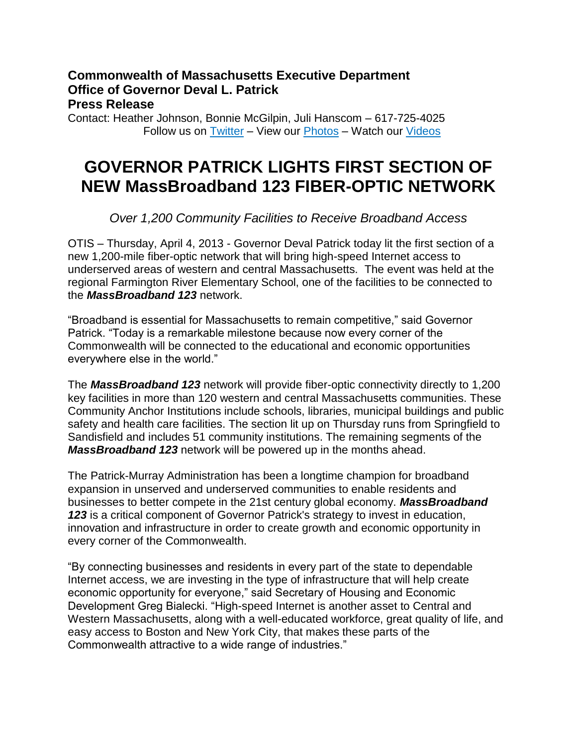## **Commonwealth of Massachusetts Executive Department Office of Governor Deval L. Patrick Press Release**

Contact: Heather Johnson, Bonnie McGilpin, Juli Hanscom – 617-725-4025 Follow us on [Twitter](http://www.twitter.com/massgovernor) – View our [Photos](http://www.flickr.com/massgovernor) – Watch our [Videos](http://www.youtube.com/massgovernor)

# **GOVERNOR PATRICK LIGHTS FIRST SECTION OF NEW MassBroadband 123 FIBER-OPTIC NETWORK**

## *Over 1,200 Community Facilities to Receive Broadband Access*

OTIS – Thursday, April 4, 2013 - Governor Deval Patrick today lit the first section of a new 1,200-mile fiber-optic network that will bring high-speed Internet access to underserved areas of western and central Massachusetts. The event was held at the regional Farmington River Elementary School, one of the facilities to be connected to the *MassBroadband 123* network.

"Broadband is essential for Massachusetts to remain competitive," said Governor Patrick. "Today is a remarkable milestone because now every corner of the Commonwealth will be connected to the educational and economic opportunities everywhere else in the world."

The *MassBroadband 123* network will provide fiber-optic connectivity directly to 1,200 key facilities in more than 120 western and central Massachusetts communities. These Community Anchor Institutions include schools, libraries, municipal buildings and public safety and health care facilities. The section lit up on Thursday runs from Springfield to Sandisfield and includes 51 community institutions. The remaining segments of the *MassBroadband 123* network will be powered up in the months ahead.

The Patrick-Murray Administration has been a longtime champion for broadband expansion in unserved and underserved communities to enable residents and businesses to better compete in the 21st century global economy. *MassBroadband 123* is a critical component of Governor Patrick's strategy to invest in education, innovation and infrastructure in order to create growth and economic opportunity in every corner of the Commonwealth.

"By connecting businesses and residents in every part of the state to dependable Internet access, we are investing in the type of infrastructure that will help create economic opportunity for everyone," said Secretary of Housing and Economic Development Greg Bialecki. "High-speed Internet is another asset to Central and Western Massachusetts, along with a well-educated workforce, great quality of life, and easy access to Boston and New York City, that makes these parts of the Commonwealth attractive to a wide range of industries."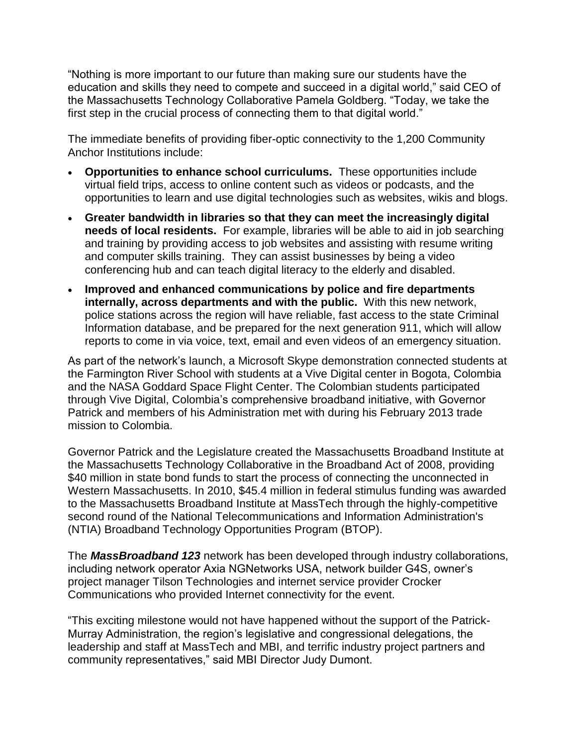"Nothing is more important to our future than making sure our students have the education and skills they need to compete and succeed in a digital world," said CEO of the Massachusetts Technology Collaborative Pamela Goldberg. "Today, we take the first step in the crucial process of connecting them to that digital world."

The immediate benefits of providing fiber-optic connectivity to the 1,200 Community Anchor Institutions include:

- **Opportunities to enhance school curriculums.** These opportunities include virtual field trips, access to online content such as videos or podcasts, and the opportunities to learn and use digital technologies such as websites, wikis and blogs.
- **Greater bandwidth in libraries so that they can meet the increasingly digital needs of local residents.** For example, libraries will be able to aid in job searching and training by providing access to job websites and assisting with resume writing and computer skills training. They can assist businesses by being a video conferencing hub and can teach digital literacy to the elderly and disabled.
- **Improved and enhanced communications by police and fire departments internally, across departments and with the public.** With this new network, police stations across the region will have reliable, fast access to the state Criminal Information database, and be prepared for the next generation 911, which will allow reports to come in via voice, text, email and even videos of an emergency situation.

As part of the network's launch, a Microsoft Skype demonstration connected students at the Farmington River School with students at a Vive Digital center in Bogota, Colombia and the NASA Goddard Space Flight Center. The Colombian students participated through Vive Digital, Colombia's comprehensive broadband initiative, with Governor Patrick and members of his Administration met with during his February 2013 trade mission to Colombia.

Governor Patrick and the Legislature created the Massachusetts Broadband Institute at the Massachusetts Technology Collaborative in the Broadband Act of 2008, providing \$40 million in state bond funds to start the process of connecting the unconnected in Western Massachusetts. In 2010, \$45.4 million in federal stimulus funding was awarded to the Massachusetts Broadband Institute at MassTech through the highly-competitive second round of the National Telecommunications and Information Administration's (NTIA) Broadband Technology Opportunities Program (BTOP).

The *MassBroadband 123* network has been developed through industry collaborations, including network operator Axia NGNetworks USA, network builder G4S, owner's project manager Tilson Technologies and internet service provider Crocker Communications who provided Internet connectivity for the event.

"This exciting milestone would not have happened without the support of the Patrick-Murray Administration, the region's legislative and congressional delegations, the leadership and staff at MassTech and MBI, and terrific industry project partners and community representatives," said MBI Director Judy Dumont.